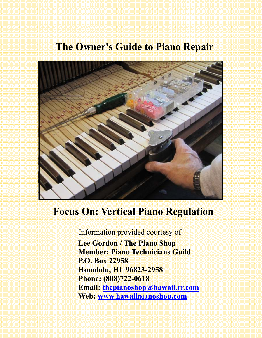# **The Owner's Guide to Piano Repair**



# **Focus On: Vertical Piano Regulation**

Information provided courtesy of:

 **Lee Gordon / The Piano Shop Member: Piano Technicians Guild P.O. Box 22958 Honolulu, HI 96823-2958 Phone: (808)722-0618 Email: thepianoshop@hawaii.rr.com Web: www.hawaiipianoshop.com**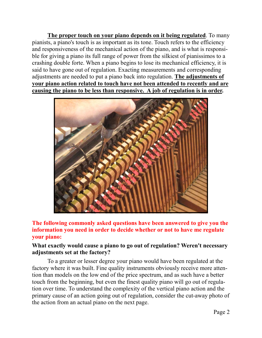**The proper touch on your piano depends on it being regulated**. To many pianists, a piano's touch is as important as its tone. Touch refers to the efficiency and responsiveness of the mechanical action of the piano, and is what is responsible for giving a piano its full range of power from the silkiest of pianissimos to a crashing double forte. When a piano begins to lose its mechanical efficiency, it is said to have gone out of regulation. Exacting measurements and corresponding adjustments are needed to put a piano back into regulation. **The adjustments of your piano action related to touch have not been attended to recently and are causing the piano to be less than responsive. A job of regulation is in order.** 



**The following commonly asked questions have been answered to give you the information you need in order to decide whether or not to have me regulate your piano:** 

#### **What exactly would cause a piano to go out of regulation? Weren't necessary adjustments set at the factory?**

To a greater or lesser degree your piano would have been regulated at the factory where it was built. Fine quality instruments obviously receive more attention than models on the low end of the price spectrum, and as such have a better touch from the beginning, but even the finest quality piano will go out of regulation over time. To understand the complexity of the vertical piano action and the primary cause of an action going out of regulation, consider the cut-away photo of the action from an actual piano on the next page.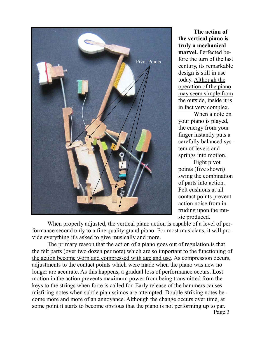

 **The action of the vertical piano is truly a mechanical marvel.** Perfected before the turn of the last century, its remarkable design is still in use today. Although the operation of the piano may seem simple from the outside, inside it is in fact very complex.

 When a note on your piano is played, the energy from your finger instantly puts a carefully balanced system of levers and springs into motion.

 Eight pivot points (five shown) swing the combination of parts into action. Felt cushions at all contact points prevent action noise from intruding upon the music produced.

 When properly adjusted, the vertical piano action is capable of a level of performance second only to a fine quality grand piano. For most musicians, it will provide everything it's asked to give musically and more.

 The primary reason that the action of a piano goes out of regulation is that the felt parts (over two dozen per note) which are so important to the functioning of the action become worn and compressed with age and use. As compression occurs, adjustments to the contact points which were made when the piano was new no longer are accurate. As this happens, a gradual loss of performance occurs. Lost motion in the action prevents maximum power from being transmitted from the keys to the strings when forte is called for. Early release of the hammers causes misfiring notes when subtle pianissimos are attempted. Double-striking notes become more and more of an annoyance. Although the change occurs over time, at some point it starts to become obvious that the piano is not performing up to par.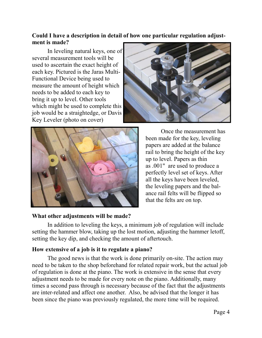### **Could I have a description in detail of how one particular regulation adjustment is made?**

 In leveling natural keys, one of several measurement tools will be used to ascertain the exact height of each key. Pictured is the Jaras Multi-Functional Device being used to measure the amount of height which needs to be added to each key to bring it up to level. Other tools which might be used to complete this job would be a straightedge, or Davis Key Leveler (photo on cover)





 Once the measurement has been made for the key, leveling papers are added at the balance rail to bring the height of the key up to level. Papers as thin as .001" are used to produce a perfectly level set of keys. After all the keys have been leveled, the leveling papers and the balance rail felts will be flipped so that the felts are on top.

#### **What other adjustments will be made?**

 In addition to leveling the keys, a minimum job of regulation will include setting the hammer blow, taking up the lost motion, adjusting the hammer letoff, setting the key dip, and checking the amount of aftertouch.

#### **How extensive of a job is it to regulate a piano?**

 The good news is that the work is done primarily on-site. The action may need to be taken to the shop beforehand for related repair work, but the actual job of regulation is done at the piano. The work is extensive in the sense that every adjustment needs to be made for every note on the piano. Additionally, many times a second pass through is necessary because of the fact that the adjustments are inter-related and affect one another. Also, be advised that the longer it has been since the piano was previously regulated, the more time will be required.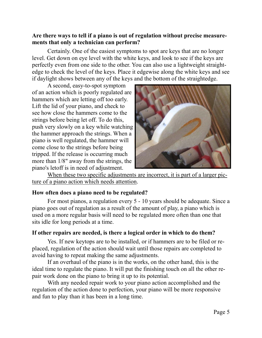#### **Are there ways to tell if a piano is out of regulation without precise measurements that only a technician can perform?**

 Certainly. One of the easiest symptoms to spot are keys that are no longer level. Get down on eye level with the white keys, and look to see if the keys are perfectly even from one side to the other. You can also use a lightweight straightedge to check the level of the keys. Place it edgewise along the white keys and see if daylight shows between any of the keys and the bottom of the straightedge.

 A second, easy-to-spot symptom of an action which is poorly regulated are hammers which are letting off too early. Lift the lid of your piano, and check to see how close the hammers come to the strings before being let off. To do this, push very slowly on a key while watching the hammer approach the strings. When a piano is well regulated, the hammer will come close to the strings before being tripped. If the release is occurring much more than 1/8" away from the strings, the piano's letoff is in need of adjustment.



When these two specific adjustments are incorrect, it is part of a larger picture of a piano action which needs attention.

#### **How often does a piano need to be regulated?**

 For most pianos, a regulation every 5 - 10 years should be adequate. Since a piano goes out of regulation as a result of the amount of play, a piano which is used on a more regular basis will need to be regulated more often than one that sits idle for long periods at a time.

#### **If other repairs are needed, is there a logical order in which to do them?**

 Yes. If new keytops are to be installed, or if hammers are to be filed or replaced, regulation of the action should wait until those repairs are completed to avoid having to repeat making the same adjustments.

 If an overhaul of the piano is in the works, on the other hand, this is the ideal time to regulate the piano. It will put the finishing touch on all the other repair work done on the piano to bring it up to its potential.

 With any needed repair work to your piano action accomplished and the regulation of the action done to perfection, your piano will be more responsive and fun to play than it has been in a long time.